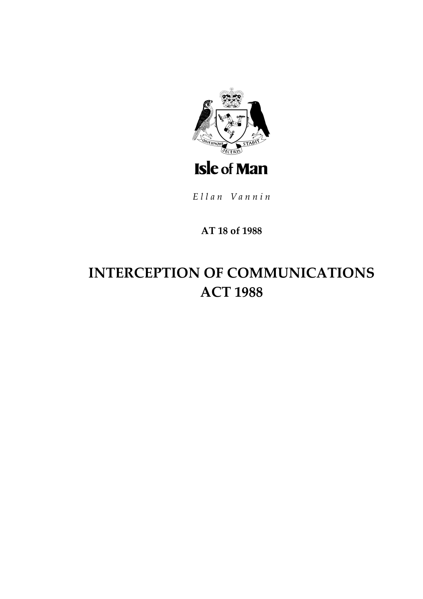

Ellan Vannin

# AT 18 of 1988

# **INTERCEPTION OF COMMUNICATIONS ACT 1988**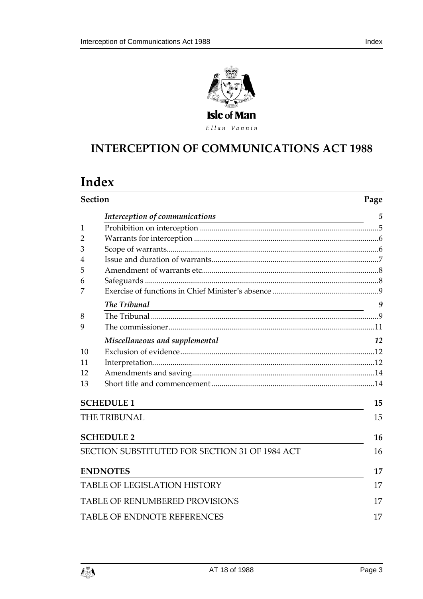

Ellan Vannin

# **INTERCEPTION OF COMM UNICATIONS ACT 1988**

# **Index**

| <b>Section</b>                     | Page                                                                                                                                                                  |    |  |
|------------------------------------|-----------------------------------------------------------------------------------------------------------------------------------------------------------------------|----|--|
|                                    | Interception of communications<br><u> 1989 - Johann Stoff, deutscher Stoffen und der Stoffen und der Stoffen und der Stoffen und der Stoffen und der</u>              | 5  |  |
| $\mathbf{1}$                       |                                                                                                                                                                       |    |  |
| 2                                  |                                                                                                                                                                       |    |  |
| 3                                  |                                                                                                                                                                       |    |  |
| 4                                  |                                                                                                                                                                       |    |  |
| 5                                  |                                                                                                                                                                       |    |  |
| 6                                  |                                                                                                                                                                       |    |  |
| 7                                  |                                                                                                                                                                       |    |  |
|                                    | The Tribunal<br><u> 1980 - Johann Stoff, deutscher Stoffen und der Stoffen und der Stoffen und der Stoffen und der Stoffen und der</u>                                | 9  |  |
| 8                                  |                                                                                                                                                                       |    |  |
| 9                                  |                                                                                                                                                                       |    |  |
|                                    | Miscellaneous and supplemental<br>$\mathbf{L}$ and $\mathbf{L}$ and $\mathbf{L}$ and $\mathbf{L}$ and $\mathbf{L}$ and $\mathbf{L}$ and $\mathbf{L}$ and $\mathbf{L}$ | 12 |  |
| 10                                 |                                                                                                                                                                       |    |  |
| 11                                 |                                                                                                                                                                       |    |  |
| 12                                 |                                                                                                                                                                       |    |  |
| 13                                 |                                                                                                                                                                       |    |  |
|                                    | <b>SCHEDULE 1</b>                                                                                                                                                     | 15 |  |
|                                    | <b>THE TRIBUNAL</b>                                                                                                                                                   | 15 |  |
|                                    | <b>SCHEDULE 2</b>                                                                                                                                                     | 16 |  |
|                                    | SECTION SUBSTITUTED FOR SECTION 31 OF 1984 ACT                                                                                                                        | 16 |  |
|                                    | <b>ENDNOTES</b>                                                                                                                                                       | 17 |  |
|                                    | <b>TABLE OF LEGISLATION HISTORY</b>                                                                                                                                   | 17 |  |
|                                    | <b>TABLE OF RENUMBERED PROVISIONS</b>                                                                                                                                 |    |  |
| <b>TABLE OF ENDNOTE REFERENCES</b> |                                                                                                                                                                       |    |  |

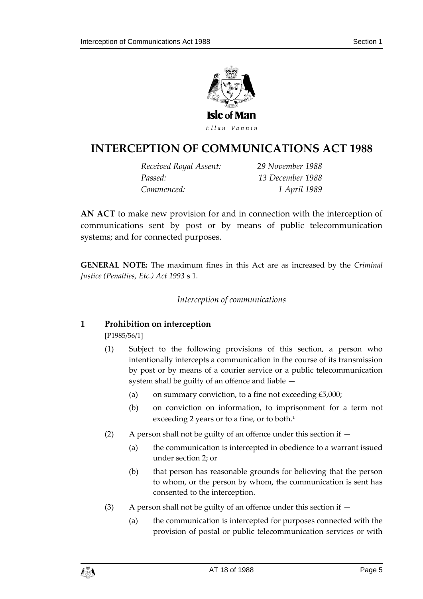

# **INTERCEPTION OF COMM UNICATIONS ACT 1988**

*Received Royal Assent: 29 November 1988 Passed: 13 December 1988 Commenced: 1 April 1989*

**AN ACT** to make new provision for and in connection with the interception of communications sent by post or by means of public telecommunication systems; and for connected purposes.

<span id="page-4-0"></span>**GENERAL NOTE:** The maximum fines in this Act are as increased by the *Criminal Justice (Penalties, Etc.) Act 1993* s 1.

#### *Interception of communications*

#### <span id="page-4-1"></span>**1 Prohibition on interception**

[P1985/56/1]

- (1) Subject to the following provisions of this section, a person who intentionally intercepts a communication in the course of its transmission by post or by means of a courier service or a public telecommunication system shall be guilty of an offence and liable —
	- (a) on summary conviction, to a fine not exceeding  $£5,000;$
	- (b) on conviction on information, to imprisonment for a term not exceeding 2 years or to a fine, or to both.**<sup>1</sup>**
- (2) A person shall not be guilty of an offence under this section if  $-$ 
	- (a) the communication is intercepted in obedience to a warrant issued under section 2; or
	- (b) that person has reasonable grounds for believing that the person to whom, or the person by whom, the communication is sent has consented to the interception.
- (3) A person shall not be guilty of an offence under this section if
	- (a) the communication is intercepted for purposes connected with the provision of postal or public telecommunication services or with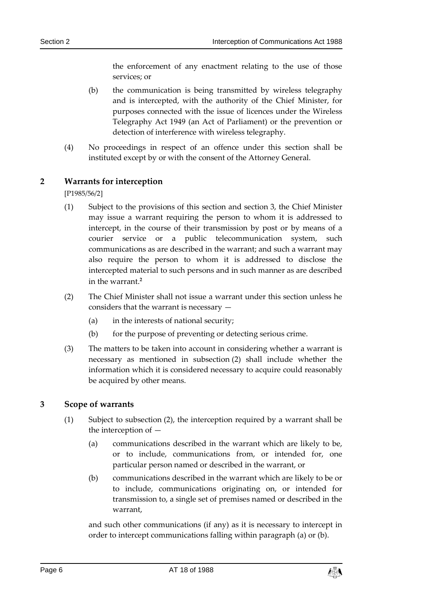the enforcement of any enactment relating to the use of those services; or

- (b) the communication is being transmitted by wireless telegraphy and is intercepted, with the authority of the Chief Minister, for purposes connected with the issue of licences under the Wireless Telegraphy Act 1949 (an Act of Parliament) or the prevention or detection of interference with wireless telegraphy.
- (4) No proceedings in respect of an offence under this section shall be instituted except by or with the consent of the Attorney General.

#### <span id="page-5-0"></span>**2 Warrants for interception**

[P1985/56/2]

- (1) Subject to the provisions of this section and section 3, the Chief Minister may issue a warrant requiring the person to whom it is addressed to intercept, in the course of their transmission by post or by means of a courier service or a public telecommunication system, such communications as are described in the warrant; and such a warrant may also require the person to whom it is addressed to disclose the intercepted material to such persons and in such manner as are described in the warrant.**<sup>2</sup>**
- (2) The Chief Minister shall not issue a warrant under this section unless he considers that the warrant is necessary —
	- (a) in the interests of national security;
	- (b) for the purpose of preventing or detecting serious crime.
- (3) The matters to be taken into account in considering whether a warrant is necessary as mentioned in subsection (2) shall include whether the information which it is considered necessary to acquire could reasonably be acquired by other means.

#### <span id="page-5-1"></span>**3 Scope of warrants**

- (1) Subject to subsection (2), the interception required by a warrant shall be the interception of —
	- (a) communications described in the warrant which are likely to be, or to include, communications from, or intended for, one particular person named or described in the warrant, or
	- (b) communications described in the warrant which are likely to be or to include, communications originating on, or intended for transmission to, a single set of premises named or described in the warrant,

and such other communications (if any) as it is necessary to intercept in order to intercept communications falling within paragraph (a) or (b).

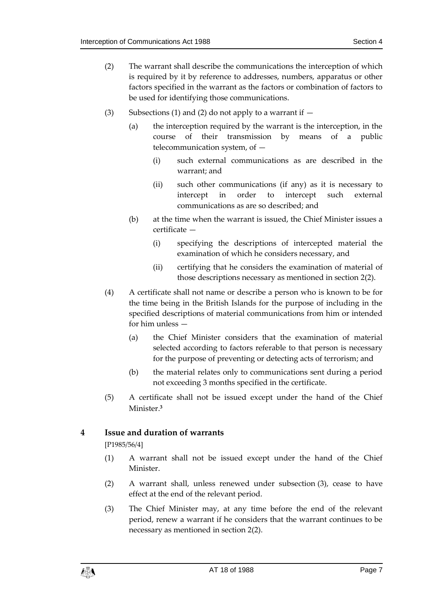- (2) The warrant shall describe the communications the interception of which is required by it by reference to addresses, numbers, apparatus or other factors specified in the warrant as the factors or combination of factors to be used for identifying those communications.
- (3) Subsections (1) and (2) do not apply to a warrant if  $-$ 
	- (a) the interception required by the warrant is the interception, in the course of their transmission by means of a public telecommunication system, of —
		- (i) such external communications as are described in the warrant; and
		- (ii) such other communications (if any) as it is necessary to intercept in order to intercept such external communications as are so described; and
	- (b) at the time when the warrant is issued, the Chief Minister issues a certificate —
		- (i) specifying the descriptions of intercepted material the examination of which he considers necessary, and
		- (ii) certifying that he considers the examination of material of those descriptions necessary as mentioned in section 2(2).
- (4) A certificate shall not name or describe a person who is known to be for the time being in the British Islands for the purpose of including in the specified descriptions of material communications from him or intended for him unless —
	- (a) the Chief Minister considers that the examination of material selected according to factors referable to that person is necessary for the purpose of preventing or detecting acts of terrorism; and
	- (b) the material relates only to communications sent during a period not exceeding 3 months specified in the certificate.
- (5) A certificate shall not be issued except under the hand of the Chief Minister.**<sup>3</sup>**

#### <span id="page-6-0"></span>**4 Issue and duration of warrants**

[P1985/56/4]

- (1) A warrant shall not be issued except under the hand of the Chief Minister.
- (2) A warrant shall, unless renewed under subsection (3), cease to have effect at the end of the relevant period.
- (3) The Chief Minister may, at any time before the end of the relevant period, renew a warrant if he considers that the warrant continues to be necessary as mentioned in section 2(2).

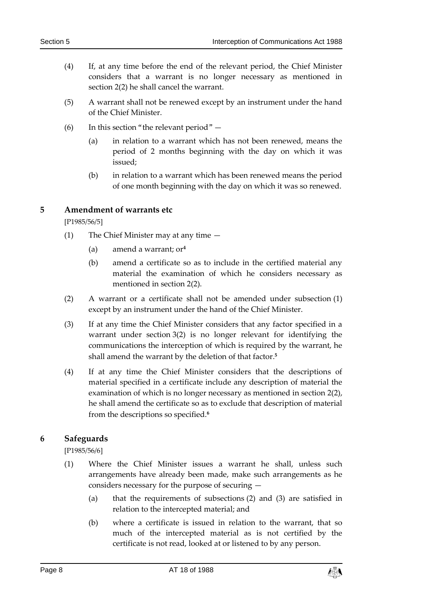- (4) If, at any time before the end of the relevant period, the Chief Minister considers that a warrant is no longer necessary as mentioned in section 2(2) he shall cancel the warrant.
- (5) A warrant shall not be renewed except by an instrument under the hand of the Chief Minister.
- (6) In this section "the relevant period"  $-$ 
	- (a) in relation to a warrant which has not been renewed, means the period of 2 months beginning with the day on which it was issued;
	- (b) in relation to a warrant which has been renewed means the period of one month beginning with the day on which it was so renewed.

#### <span id="page-7-0"></span>**5 Amendment of warrants etc**

[P1985/56/5]

- (1) The Chief Minister may at any time
	- (a) amend a warrant; or**<sup>4</sup>**
	- (b) amend a certificate so as to include in the certified material any material the examination of which he considers necessary as mentioned in section 2(2).
- (2) A warrant or a certificate shall not be amended under subsection (1) except by an instrument under the hand of the Chief Minister.
- (3) If at any time the Chief Minister considers that any factor specified in a warrant under section 3(2) is no longer relevant for identifying the communications the interception of which is required by the warrant, he shall amend the warrant by the deletion of that factor.**<sup>5</sup>**
- (4) If at any time the Chief Minister considers that the descriptions of material specified in a certificate include any description of material the examination of which is no longer necessary as mentioned in section 2(2), he shall amend the certificate so as to exclude that description of material from the descriptions so specified.**<sup>6</sup>**

#### <span id="page-7-1"></span>**6 Safeguards**

[P1985/56/6]

- (1) Where the Chief Minister issues a warrant he shall, unless such arrangements have already been made, make such arrangements as he considers necessary for the purpose of securing —
	- (a) that the requirements of subsections (2) and (3) are satisfied in relation to the intercepted material; and
	- (b) where a certificate is issued in relation to the warrant, that so much of the intercepted material as is not certified by the certificate is not read, looked at or listened to by any person.

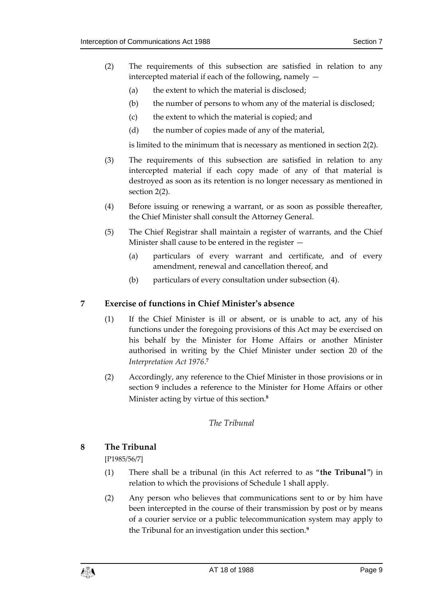- (2) The requirements of this subsection are satisfied in relation to any intercepted material if each of the following, namely —
	- (a) the extent to which the material is disclosed;
	- (b) the number of persons to whom any of the material is disclosed;
	- (c) the extent to which the material is copied; and
	- (d) the number of copies made of any of the material,

is limited to the minimum that is necessary as mentioned in section 2(2).

- (3) The requirements of this subsection are satisfied in relation to any intercepted material if each copy made of any of that material is destroyed as soon as its retention is no longer necessary as mentioned in section 2(2).
- (4) Before issuing or renewing a warrant, or as soon as possible thereafter, the Chief Minister shall consult the Attorney General.
- (5) The Chief Registrar shall maintain a register of warrants, and the Chief Minister shall cause to be entered in the register —
	- (a) particulars of every warrant and certificate, and of every amendment, renewal and cancellation thereof, and
	- (b) particulars of every consultation under subsection (4).

#### <span id="page-8-0"></span>**7 Exercise of functions in Chief Minister's absence**

- (1) If the Chief Minister is ill or absent, or is unable to act, any of his functions under the foregoing provisions of this Act may be exercised on his behalf by the Minister for Home Affairs or another Minister authorised in writing by the Chief Minister under section 20 of the *Interpretation Act 1976*. **7**
- (2) Accordingly, any reference to the Chief Minister in those provisions or in section 9 includes a reference to the Minister for Home Affairs or other Minister acting by virtue of this section.**<sup>8</sup>**

#### *The Tribunal*

#### <span id="page-8-2"></span><span id="page-8-1"></span>**8 The Tribunal**

[P1985/56/7]

- (1) There shall be a tribunal (in this Act referred to as "**the Tribunal**") in relation to which the provisions of Schedule 1 shall apply.
- (2) Any person who believes that communications sent to or by him have been intercepted in the course of their transmission by post or by means of a courier service or a public telecommunication system may apply to the Tribunal for an investigation under this section.**9**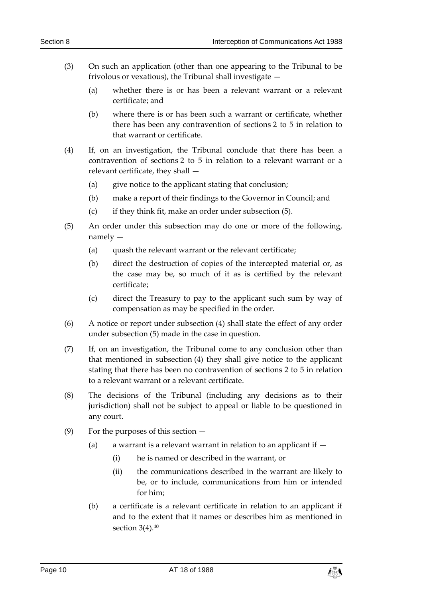- (3) On such an application (other than one appearing to the Tribunal to be frivolous or vexatious), the Tribunal shall investigate —
	- (a) whether there is or has been a relevant warrant or a relevant certificate; and
	- (b) where there is or has been such a warrant or certificate, whether there has been any contravention of sections 2 to 5 in relation to that warrant or certificate.
- (4) If, on an investigation, the Tribunal conclude that there has been a contravention of sections 2 to 5 in relation to a relevant warrant or a relevant certificate, they shall —
	- (a) give notice to the applicant stating that conclusion;
	- (b) make a report of their findings to the Governor in Council; and
	- (c) if they think fit, make an order under subsection (5).
- (5) An order under this subsection may do one or more of the following, namely —
	- (a) quash the relevant warrant or the relevant certificate;
	- (b) direct the destruction of copies of the intercepted material or, as the case may be, so much of it as is certified by the relevant certificate;
	- (c) direct the Treasury to pay to the applicant such sum by way of compensation as may be specified in the order.
- (6) A notice or report under subsection (4) shall state the effect of any order under subsection (5) made in the case in question.
- (7) If, on an investigation, the Tribunal come to any conclusion other than that mentioned in subsection (4) they shall give notice to the applicant stating that there has been no contravention of sections 2 to 5 in relation to a relevant warrant or a relevant certificate.
- (8) The decisions of the Tribunal (including any decisions as to their jurisdiction) shall not be subject to appeal or liable to be questioned in any court.
- (9) For the purposes of this section
	- (a) a warrant is a relevant warrant in relation to an applicant if  $-$ 
		- (i) he is named or described in the warrant, or
		- (ii) the communications described in the warrant are likely to be, or to include, communications from him or intended for him;
	- (b) a certificate is a relevant certificate in relation to an applicant if and to the extent that it names or describes him as mentioned in section 3(4).**<sup>10</sup>**

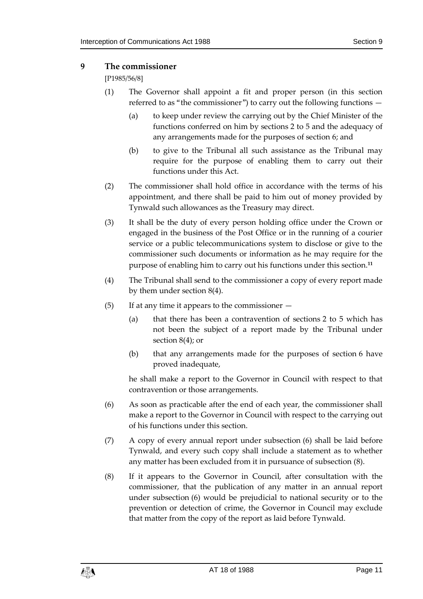#### <span id="page-10-0"></span>**9 The commissioner**

[P1985/56/8]

- (1) The Governor shall appoint a fit and proper person (in this section referred to as "the commissioner") to carry out the following functions —
	- (a) to keep under review the carrying out by the Chief Minister of the functions conferred on him by sections 2 to 5 and the adequacy of any arrangements made for the purposes of section 6; and
	- (b) to give to the Tribunal all such assistance as the Tribunal may require for the purpose of enabling them to carry out their functions under this Act.
- (2) The commissioner shall hold office in accordance with the terms of his appointment, and there shall be paid to him out of money provided by Tynwald such allowances as the Treasury may direct.
- (3) It shall be the duty of every person holding office under the Crown or engaged in the business of the Post Office or in the running of a courier service or a public telecommunications system to disclose or give to the commissioner such documents or information as he may require for the purpose of enabling him to carry out his functions under this section.**<sup>11</sup>**
- (4) The Tribunal shall send to the commissioner a copy of every report made by them under section 8(4).
- (5) If at any time it appears to the commissioner
	- (a) that there has been a contravention of sections 2 to 5 which has not been the subject of a report made by the Tribunal under section 8(4); or
	- (b) that any arrangements made for the purposes of section 6 have proved inadequate,

he shall make a report to the Governor in Council with respect to that contravention or those arrangements.

- (6) As soon as practicable after the end of each year, the commissioner shall make a report to the Governor in Council with respect to the carrying out of his functions under this section.
- (7) A copy of every annual report under subsection (6) shall be laid before Tynwald, and every such copy shall include a statement as to whether any matter has been excluded from it in pursuance of subsection (8).
- (8) If it appears to the Governor in Council, after consultation with the commissioner, that the publication of any matter in an annual report under subsection (6) would be prejudicial to national security or to the prevention or detection of crime, the Governor in Council may exclude that matter from the copy of the report as laid before Tynwald.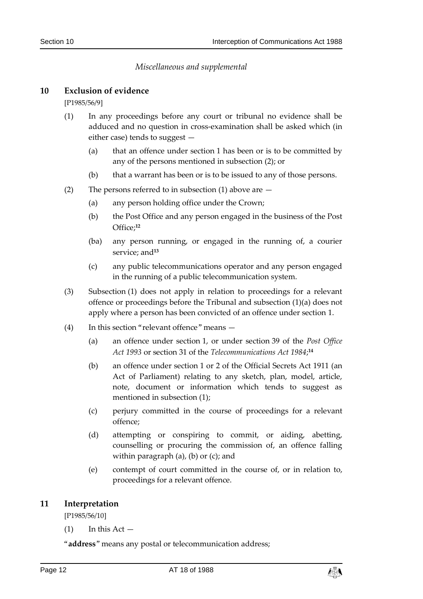#### *Miscellaneous and supplemental*

#### <span id="page-11-1"></span><span id="page-11-0"></span>**10 Exclusion of evidence**

[P1985/56/9]

- (1) In any proceedings before any court or tribunal no evidence shall be adduced and no question in cross-examination shall be asked which (in either case) tends to suggest —
	- (a) that an offence under section 1 has been or is to be committed by any of the persons mentioned in subsection (2); or
	- (b) that a warrant has been or is to be issued to any of those persons.
- (2) The persons referred to in subsection (1) above are  $-$ 
	- (a) any person holding office under the Crown;
	- (b) the Post Office and any person engaged in the business of the Post Office;**<sup>12</sup>**
	- (ba) any person running, or engaged in the running of, a courier service: and<sup>13</sup>
	- (c) any public telecommunications operator and any person engaged in the running of a public telecommunication system.
- (3) Subsection (1) does not apply in relation to proceedings for a relevant offence or proceedings before the Tribunal and subsection (1)(a) does not apply where a person has been convicted of an offence under section 1.
- (4) In this section "relevant offence" means
	- (a) an offence under section 1, or under section 39 of the *Post Office*  Act 1993 or section 31 of the *Telecommunications Act* 1984;<sup>14</sup>
	- (b) an offence under section 1 or 2 of the Official Secrets Act 1911 (an Act of Parliament) relating to any sketch, plan, model, article, note, document or information which tends to suggest as mentioned in subsection (1);
	- (c) perjury committed in the course of proceedings for a relevant offence;
	- (d) attempting or conspiring to commit, or aiding, abetting, counselling or procuring the commission of, an offence falling within paragraph  $(a)$ ,  $(b)$  or  $(c)$ ; and
	- (e) contempt of court committed in the course of, or in relation to, proceedings for a relevant offence.

#### <span id="page-11-2"></span>**11 Interpretation**

[P1985/56/10]

 $(1)$  In this Act —

"**address**" means any postal or telecommunication address;

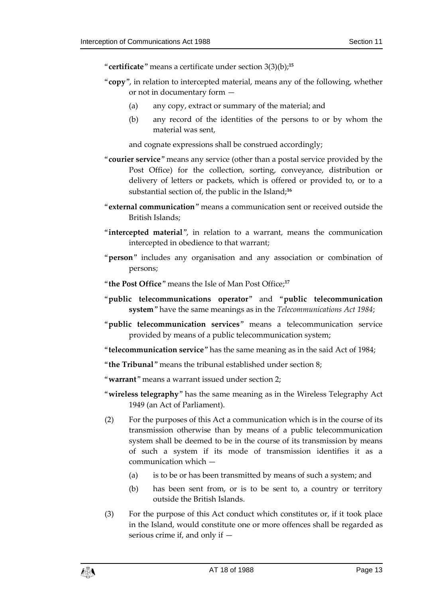"**certificate**" means a certificate under section 3(3)(b);**<sup>15</sup>**

- "**copy**", in relation to intercepted material, means any of the following, whether or not in documentary form —
	- (a) any copy, extract or summary of the material; and
	- (b) any record of the identities of the persons to or by whom the material was sent,

and cognate expressions shall be construed accordingly;

- "**courier service**" means any service (other than a postal service provided by the Post Office) for the collection, sorting, conveyance, distribution or delivery of letters or packets, which is offered or provided to, or to a substantial section of, the public in the Island;**<sup>16</sup>**
- "**external communication**" means a communication sent or received outside the British Islands;
- "**intercepted material**", in relation to a warrant, means the communication intercepted in obedience to that warrant;
- "**person**" includes any organisation and any association or combination of persons;
- "**the Post Office**" means the Isle of Man Post Office;**<sup>17</sup>**
- "**public telecommunications operator**" and "**public telecommunication system**" have the same meanings as in the *Telecommunications Act 1984*;
- "**public telecommunication services**" means a telecommunication service provided by means of a public telecommunication system;
- "**telecommunication service**" has the same meaning as in the said Act of 1984;

"**the Tribunal**" means the tribunal established under section 8;

"**warrant**" means a warrant issued under section 2;

- "**wireless telegraphy**" has the same meaning as in the Wireless Telegraphy Act 1949 (an Act of Parliament).
- (2) For the purposes of this Act a communication which is in the course of its transmission otherwise than by means of a public telecommunication system shall be deemed to be in the course of its transmission by means of such a system if its mode of transmission identifies it as a communication which —
	- (a) is to be or has been transmitted by means of such a system; and
	- (b) has been sent from, or is to be sent to, a country or territory outside the British Islands.
- (3) For the purpose of this Act conduct which constitutes or, if it took place in the Island, would constitute one or more offences shall be regarded as serious crime if, and only if —

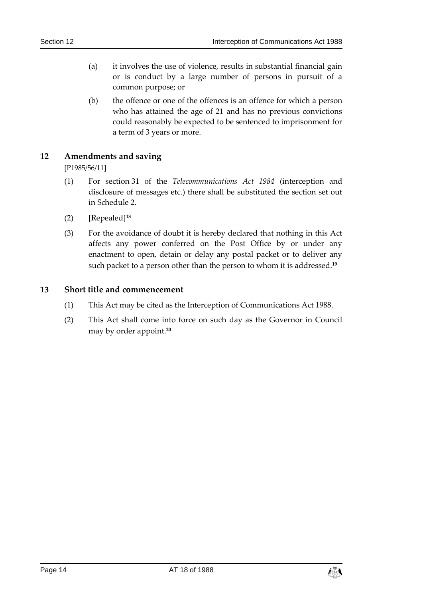- (a) it involves the use of violence, results in substantial financial gain or is conduct by a large number of persons in pursuit of a common purpose; or
- (b) the offence or one of the offences is an offence for which a person who has attained the age of 21 and has no previous convictions could reasonably be expected to be sentenced to imprisonment for a term of 3 years or more.

#### <span id="page-13-0"></span>**12 Amendments and saving**

[P1985/56/11]

- (1) For section 31 of the *Telecommunications Act 1984* (interception and disclosure of messages etc.) there shall be substituted the section set out in Schedule 2.
- (2) [Repealed]**<sup>18</sup>**
- (3) For the avoidance of doubt it is hereby declared that nothing in this Act affects any power conferred on the Post Office by or under any enactment to open, detain or delay any postal packet or to deliver any such packet to a person other than the person to whom it is addressed.**<sup>19</sup>**

#### <span id="page-13-1"></span>**13 Short title and commencement**

- (1) This Act may be cited as the Interception of Communications Act 1988.
- (2) This Act shall come into force on such day as the Governor in Council may by order appoint.**20**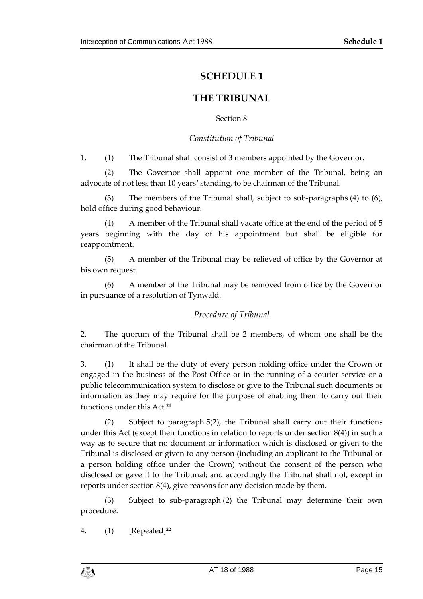## **SCHEDULE 1**

## **THE TRIBUNAL**

Section 8

#### *Constitution of Tribunal*

<span id="page-14-1"></span><span id="page-14-0"></span>1. (1) The Tribunal shall consist of 3 members appointed by the Governor.

(2) The Governor shall appoint one member of the Tribunal, being an advocate of not less than 10 years' standing, to be chairman of the Tribunal.

(3) The members of the Tribunal shall, subject to sub-paragraphs (4) to (6), hold office during good behaviour.

(4) A member of the Tribunal shall vacate office at the end of the period of 5 years beginning with the day of his appointment but shall be eligible for reappointment.

(5) A member of the Tribunal may be relieved of office by the Governor at his own request.

(6) A member of the Tribunal may be removed from office by the Governor in pursuance of a resolution of Tynwald.

#### *Procedure of Tribunal*

2. The quorum of the Tribunal shall be 2 members, of whom one shall be the chairman of the Tribunal.

3. (1) It shall be the duty of every person holding office under the Crown or engaged in the business of the Post Office or in the running of a courier service or a public telecommunication system to disclose or give to the Tribunal such documents or information as they may require for the purpose of enabling them to carry out their functions under this Act.**<sup>21</sup>**

(2) Subject to paragraph 5(2), the Tribunal shall carry out their functions under this Act (except their functions in relation to reports under section 8(4)) in such a way as to secure that no document or information which is disclosed or given to the Tribunal is disclosed or given to any person (including an applicant to the Tribunal or a person holding office under the Crown) without the consent of the person who disclosed or gave it to the Tribunal; and accordingly the Tribunal shall not, except in reports under section 8(4), give reasons for any decision made by them.

(3) Subject to sub-paragraph (2) the Tribunal may determine their own procedure.

4. (1) [Repealed]**<sup>22</sup>**

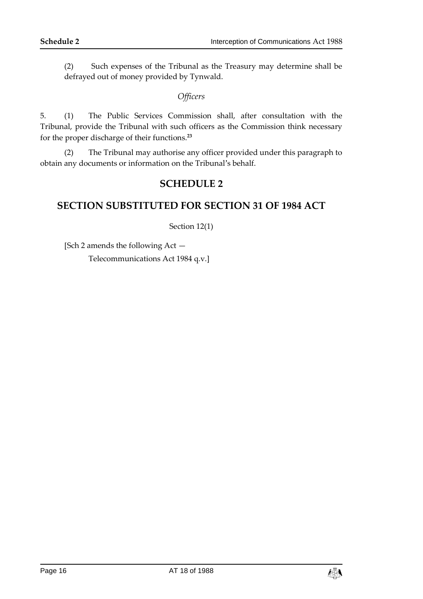(2) Such expenses of the Tribunal as the Treasury may determine shall be defrayed out of money provided by Tynwald.

#### *Officers*

5. (1) The Public Services Commission shall, after consultation with the Tribunal, provide the Tribunal with such officers as the Commission think necessary for the proper discharge of their functions.**<sup>23</sup>**

<span id="page-15-0"></span>(2) The Tribunal may authorise any officer provided under this paragraph to obtain any documents or information on the Tribunal's behalf.

### **SCHEDULE 2**

### <span id="page-15-1"></span>**SECTION SUBSTITUTED FOR SECTION 31 OF 1984 ACT**

#### Section 12(1)

[Sch 2 amends the following Act — Telecommunications Act 1984 q.v.]

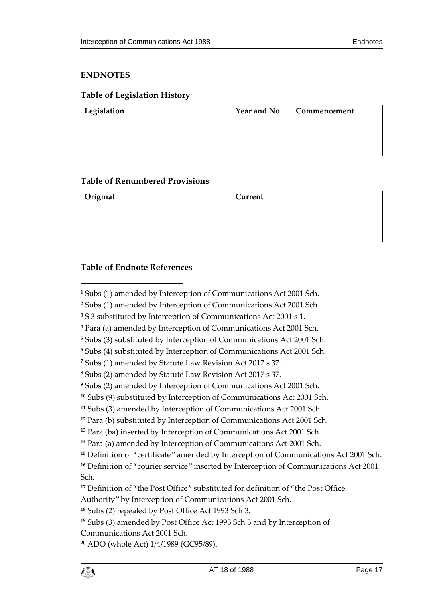#### <span id="page-16-0"></span>**ENDNOTES**

#### <span id="page-16-1"></span>**Table of Legislation History**

| Legislation | Year and No | Commencement |
|-------------|-------------|--------------|
|             |             |              |
|             |             |              |
|             |             |              |
|             |             |              |

#### <span id="page-16-2"></span>**Table of Renumbered Provisions**

| Original | Current |
|----------|---------|
|          |         |
|          |         |
|          |         |
|          |         |

#### <span id="page-16-3"></span>**Table of Endnote References**

 $\overline{a}$ 

```
19 Subs (3) amended by Post Office Act 1993 Sch 3 and by Interception of 
Communications Act 2001 Sch.
```

```
20 ADO (whole Act) 1/4/1989 (GC95/89).
```
Subs (1) amended by Interception of Communications Act 2001 Sch.

Subs (1) amended by Interception of Communications Act 2001 Sch.

S 3 substituted by Interception of Communications Act 2001 s 1.

Para (a) amended by Interception of Communications Act 2001 Sch.

Subs (3) substituted by Interception of Communications Act 2001 Sch.

Subs (4) substituted by Interception of Communications Act 2001 Sch.

Subs (1) amended by Statute Law Revision Act 2017 s 37.

Subs (2) amended by Statute Law Revision Act 2017 s 37.

Subs (2) amended by Interception of Communications Act 2001 Sch.

Subs (9) substituted by Interception of Communications Act 2001 Sch.

Subs (3) amended by Interception of Communications Act 2001 Sch.

Para (b) substituted by Interception of Communications Act 2001 Sch.

Para (ba) inserted by Interception of Communications Act 2001 Sch.

Para (a) amended by Interception of Communications Act 2001 Sch.

Definition of "certificate" amended by Interception of Communications Act 2001 Sch.

 Definition of "courier service" inserted by Interception of Communications Act 2001 Sch.

 Definition of "the Post Office" substituted for definition of "the Post Office Authority" by Interception of Communications Act 2001 Sch.

Subs (2) repealed by Post Office Act 1993 Sch 3.